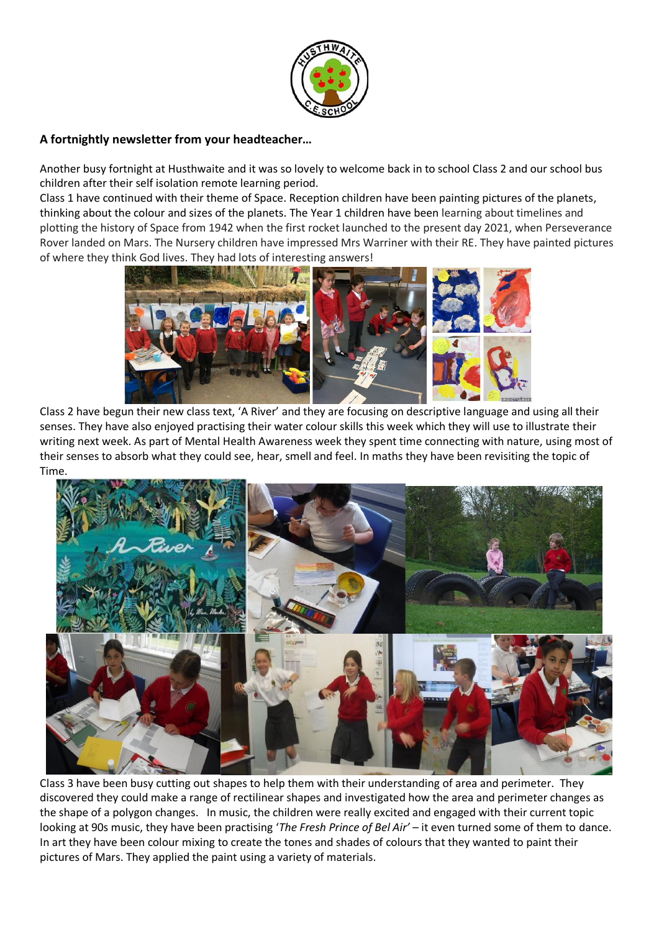

# **A fortnightly newsletter from your headteacher…**

Another busy fortnight at Husthwaite and it was so lovely to welcome back in to school Class 2 and our school bus children after their self isolation remote learning period.

Class 1 have continued with their theme of Space. Reception children have been painting pictures of the planets, thinking about the colour and sizes of the planets. The Year 1 children have been learning about timelines and plotting the history of Space from 1942 when the first rocket launched to the present day 2021, when Perseverance Rover landed on Mars. The Nursery children have impressed Mrs Warriner with their RE. They have painted pictures of where they think God lives. They had lots of interesting answers!



Class 2 have begun their new class text, 'A River' and they are focusing on descriptive language and using all their senses. They have also enjoyed practising their water colour skills this week which they will use to illustrate their writing next week. As part of Mental Health Awareness week they spent time connecting with nature, using most of their senses to absorb what they could see, hear, smell and feel. In maths they have been revisiting the topic of Time.



Class 3 have been busy cutting out shapes to help them with their understanding of area and perimeter. They discovered they could make a range of rectilinear shapes and investigated how the area and perimeter changes as the shape of a polygon changes. In music, the children were really excited and engaged with their current topic looking at 90s music, they have been practising '*The Fresh Prince of Bel Air'* – it even turned some of them to dance. In art they have been colour mixing to create the tones and shades of colours that they wanted to paint their pictures of Mars. They applied the paint using a variety of materials.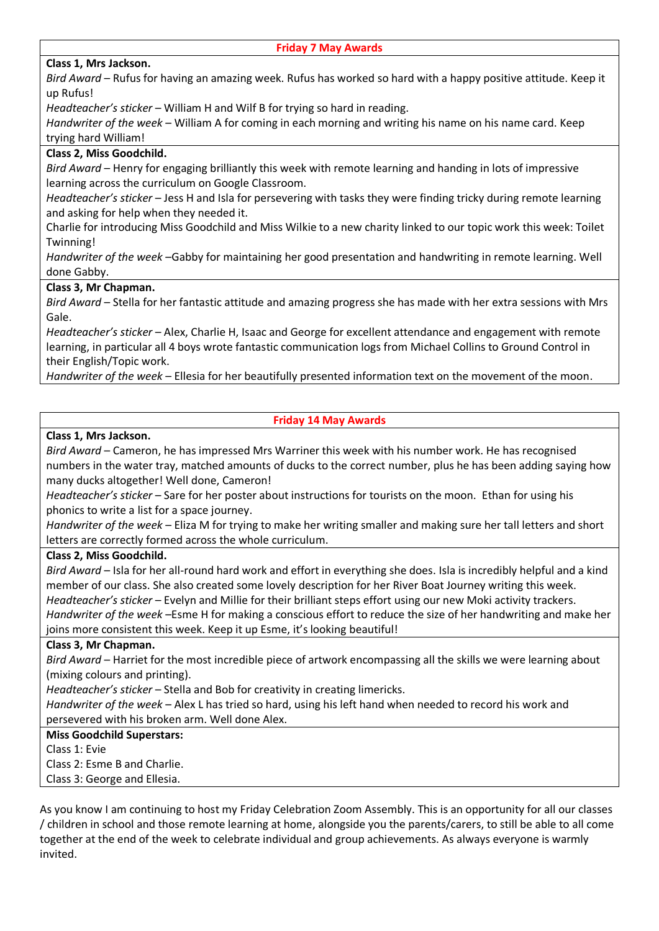## **Class 1, Mrs Jackson.**

*Bird Award* – Rufus for having an amazing week. Rufus has worked so hard with a happy positive attitude. Keep it up Rufus!

*Headteacher's sticker* – William H and Wilf B for trying so hard in reading.

*Handwriter of the week* – William A for coming in each morning and writing his name on his name card. Keep trying hard William!

## **Class 2, Miss Goodchild.**

*Bird Award* – Henry for engaging brilliantly this week with remote learning and handing in lots of impressive learning across the curriculum on Google Classroom.

*Headteacher's sticker* – Jess H and Isla for persevering with tasks they were finding tricky during remote learning and asking for help when they needed it.

Charlie for introducing Miss Goodchild and Miss Wilkie to a new charity linked to our topic work this week: Toilet Twinning!

*Handwriter of the week* –Gabby for maintaining her good presentation and handwriting in remote learning. Well done Gabby.

### **Class 3, Mr Chapman.**

*Bird Award* – Stella for her fantastic attitude and amazing progress she has made with her extra sessions with Mrs Gale.

*Headteacher's sticker* – Alex, Charlie H, Isaac and George for excellent attendance and engagement with remote learning, in particular all 4 boys wrote fantastic communication logs from Michael Collins to Ground Control in their English/Topic work.

*Handwriter of the week* – Ellesia for her beautifully presented information text on the movement of the moon.

#### **Friday 14 May Awards**

#### **Class 1, Mrs Jackson.**

*Bird Award* – Cameron, he has impressed Mrs Warriner this week with his number work. He has recognised numbers in the water tray, matched amounts of ducks to the correct number, plus he has been adding saying how many ducks altogether! Well done, Cameron!

*Headteacher's sticker* – Sare for her poster about instructions for tourists on the moon. Ethan for using his phonics to write a list for a space journey.

*Handwriter of the week* – Eliza M for trying to make her writing smaller and making sure her tall letters and short letters are correctly formed across the whole curriculum.

#### **Class 2, Miss Goodchild.**

*Bird Award* – Isla for her all-round hard work and effort in everything she does. Isla is incredibly helpful and a kind member of our class. She also created some lovely description for her River Boat Journey writing this week. *Headteacher's sticker* – Evelyn and Millie for their brilliant steps effort using our new Moki activity trackers. *Handwriter of the week* –Esme H for making a conscious effort to reduce the size of her handwriting and make her joins more consistent this week. Keep it up Esme, it's looking beautiful!

#### **Class 3, Mr Chapman.**

*Bird Award* – Harriet for the most incredible piece of artwork encompassing all the skills we were learning about (mixing colours and printing).

*Headteacher's sticker* – Stella and Bob for creativity in creating limericks.

*Handwriter of the week* – Alex L has tried so hard, using his left hand when needed to record his work and persevered with his broken arm. Well done Alex.

#### **Miss Goodchild Superstars:**

Class 1: Evie

Class 2: Esme B and Charlie.

Class 3: George and Ellesia.

As you know I am continuing to host my Friday Celebration Zoom Assembly. This is an opportunity for all our classes / children in school and those remote learning at home, alongside you the parents/carers, to still be able to all come together at the end of the week to celebrate individual and group achievements. As always everyone is warmly invited.